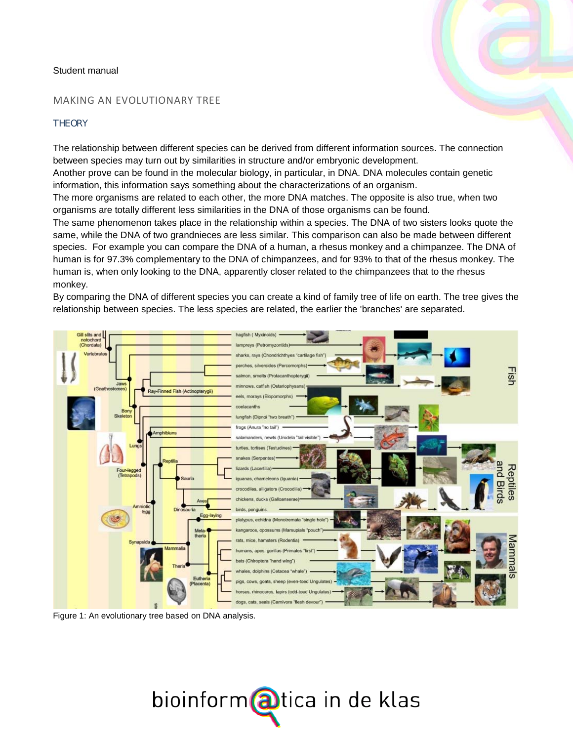## Student manual

## MAKING AN EVOLUTIONARY TREE

## **THEORY**

The relationship between different species can be derived from different information sources. The connection between species may turn out by similarities in structure and/or embryonic development.

Another prove can be found in the molecular biology, in particular, in DNA. DNA molecules contain genetic information, this information says something about the characterizations of an organism.

The more organisms are related to each other, the more DNA matches. The opposite is also true, when two organisms are totally different less similarities in the DNA of those organisms can be found.

The same phenomenon takes place in the relationship within a species. The DNA of two sisters looks quote the same, while the DNA of two grandnieces are less similar. This comparison can also be made between different species. For example you can compare the DNA of a human, a rhesus monkey and a chimpanzee. The DNA of human is for 97.3% complementary to the DNA of chimpanzees, and for 93% to that of the rhesus monkey. The human is, when only looking to the DNA, apparently closer related to the chimpanzees that to the rhesus monkey.

By comparing the DNA of different species you can create a kind of family tree of life on earth. The tree gives the relationship between species. The less species are related, the earlier the 'branches' are separated.



Figure 1: An evolutionary tree based on DNA analysis.

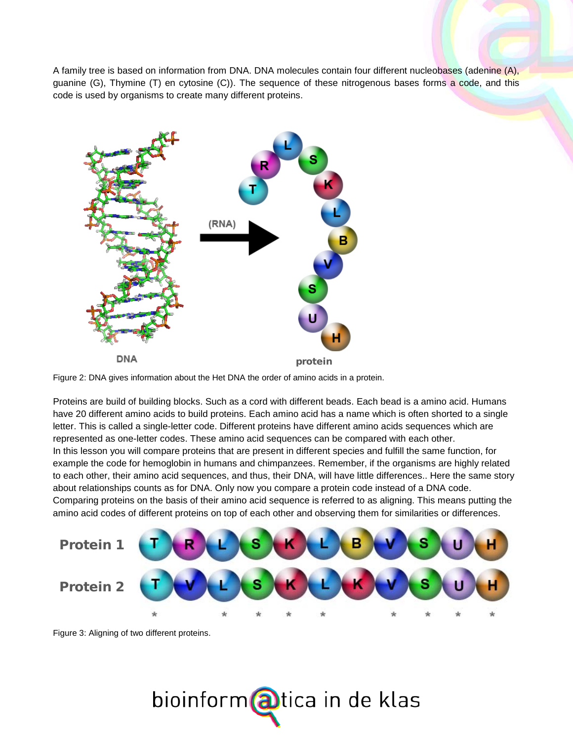A family tree is based on information from DNA. DNA molecules contain four different nucleobases (adenine (A), guanine (G), Thymine (T) en cytosine (C)). The sequence of these nitrogenous bases forms a code, and this code is used by organisms to create many different proteins.



Figure 2: DNA gives information about the Het DNA the order of amino acids in a protein.

Proteins are build of building blocks. Such as a cord with different beads. Each bead is a amino acid. Humans have 20 different amino acids to build proteins. Each amino acid has a name which is often shorted to a single letter. This is called a single-letter code. Different proteins have different amino acids sequences which are represented as one-letter codes. These amino acid sequences can be compared with each other. In this lesson you will compare proteins that are present in different species and fulfill the same function, for example the code for hemoglobin in humans and chimpanzees. Remember, if the organisms are highly related to each other, their amino acid sequences, and thus, their DNA, will have little differences.. Here the same story about relationships counts as for DNA. Only now you compare a protein code instead of a DNA code. Comparing proteins on the basis of their amino acid sequence is referred to as aligning. This means putting the amino acid codes of different proteins on top of each other and observing them for similarities or differences.



Figure 3: Aligning of two different proteins.

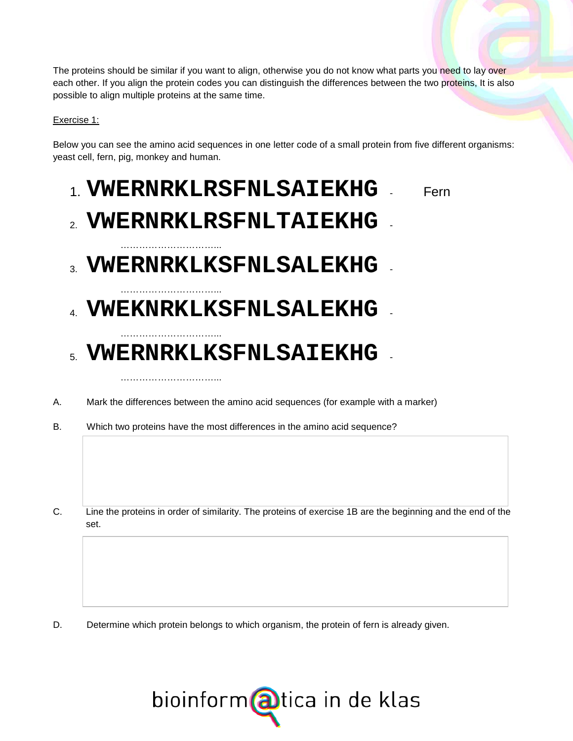The proteins should be similar if you want to align, otherwise you do not know what parts you need to lay over each other. If you align the protein codes you can distinguish the differences between the two proteins, It is also possible to align multiple proteins at the same time.

Exercise 1:

Below you can see the amino acid sequences in one letter code of a small protein from five different organisms: yeast cell, fern, pig, monkey and human.

## 1. **VWERNRKLRSFNLSAIEKHG** - Fern

# 2. **VWERNRKLRSFNLTAIEKHG**

…………………………...

…………………………...

…………………………...

…………………………...

- $_3$  **VWERNRKLKSFNLSALEKHG**
- 4. **VWEKNRKLKSFNLSALEKHG** -

# 5. **VWERNRKLKSFNLSAIEKHG** -

- A. Mark the differences between the amino acid sequences (for example with a marker)
- B. Which two proteins have the most differences in the amino acid sequence?
- C. Line the proteins in order of similarity. The proteins of exercise 1B are the beginning and the end of the set.

D. Determine which protein belongs to which organism, the protein of fern is already given.

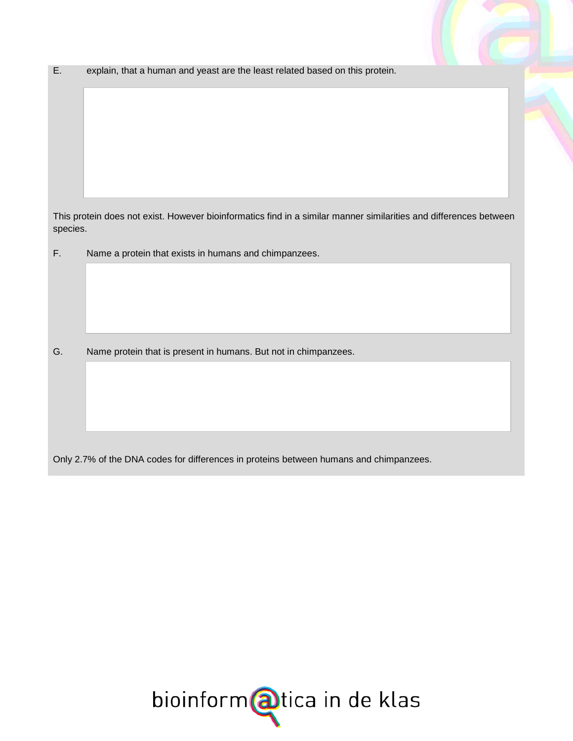E. explain, that a human and yeast are the least related based on this protein.

This protein does not exist. However bioinformatics find in a similar manner similarities and differences between species.

F. Name a protein that exists in humans and chimpanzees.

G. Name protein that is present in humans. But not in chimpanzees.

Only 2.7% of the DNA codes for differences in proteins between humans and chimpanzees.

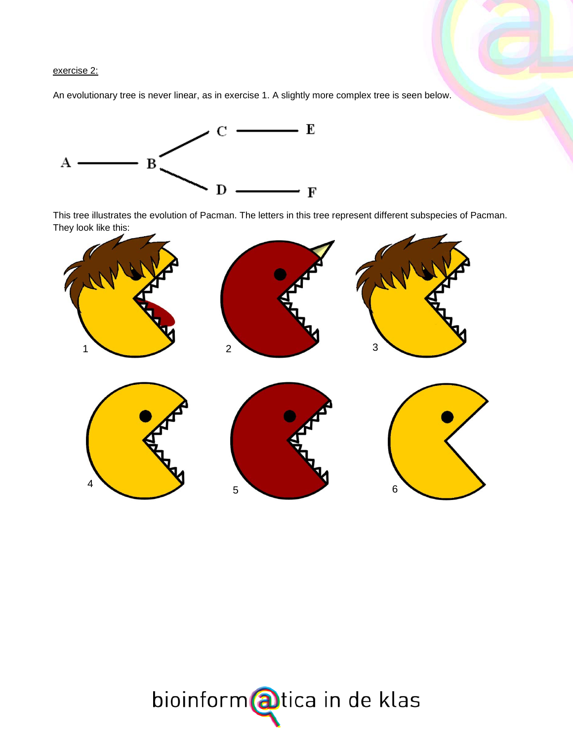## exercise 2:

An evolutionary tree is never linear, as in exercise 1. A slightly more complex tree is seen below.



This tree illustrates the evolution of Pacman. The letters in this tree represent different subspecies of Pacman. They look like this:



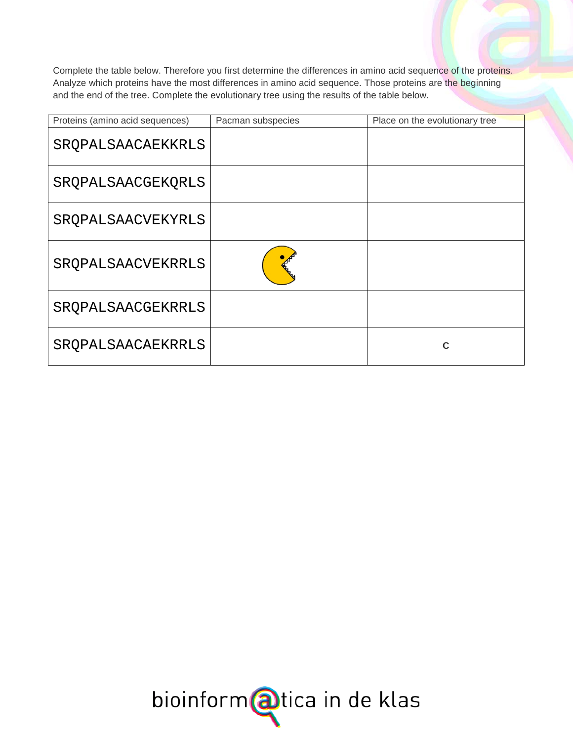Complete the table below. Therefore you first determine the differences in amino acid sequence of the proteins. Analyze which proteins have the most differences in amino acid sequence. Those proteins are the beginning and the end of the tree. Complete the evolutionary tree using the results of the table below.

| Proteins (amino acid sequences) | Pacman subspecies | Place on the evolutionary tree |
|---------------------------------|-------------------|--------------------------------|
| SRQPALSAACAEKKRLS               |                   |                                |
| SROPALSAACGEKORLS               |                   |                                |
| SROPALSAACVEKYRLS               |                   |                                |
| SROPALSAACVEKRRLS               |                   |                                |
| SROPALSAACGEKRRLS               |                   |                                |
| SROPALSAACAEKRRLS               |                   | C                              |

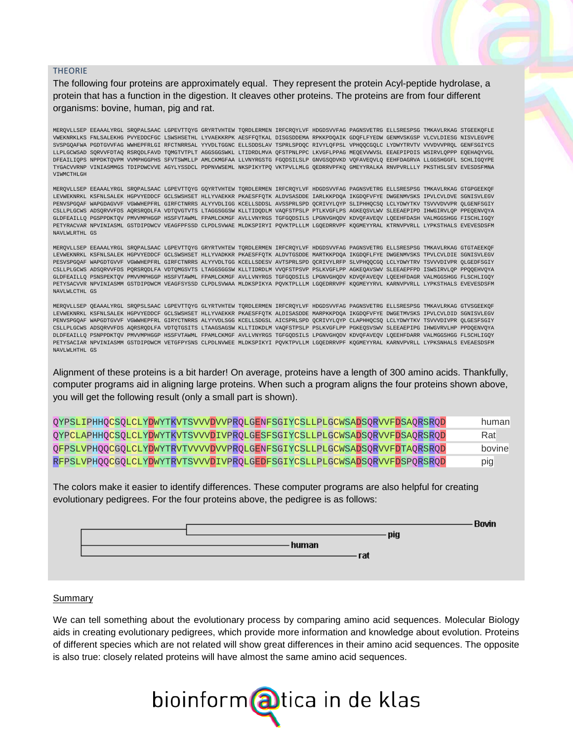#### THEORIE

The following four proteins are approximately equal. They represent the protein Acyl-peptide hydrolase, a protein that has a function in the digestion. It cleaves other proteins. The proteins are from four different organisms: bovine, human, pig and rat.

MERQVLLSEP EEAAALYRGL SRQPALSAAC LGPEVTTQYG GRYRTVHTEW TQRDLERMEN IRFCRQYLVF HDGDSVVFAG PAGNSVETRG ELLSRESPSG TMKAVLRKAG STGEEKQFLE VWEKNRKLKS FNLSALEKHG PVYEDDCFGC LSWSHSETHL LYVAEKKRPK AESFFQTKAL DISGSDDEMA RPKKPDQAIK GDQFLFYEDW GENMVSKGSP VLCVLDIESG NISVLEGVPE SVSPGQAFWA PGDTGVVFAG WWHEPFRLGI RFCTNRRSAL YYVDLTGGNC ELLSDDSLAV TSPRLSPDQC RIVYLQFPSL VPHQQCGQLC LYDWYTRVTV VVVDVVPRQL GENFSGIYCS LLPLGCWSAD SQRVVFDTAQ RSRQDLFAVD TQMGTVTPLT AGGSGGSWKL LTIDRDLMVA QFSTPNLPPC LKVGFLPPAG MEQEVVWVSL EEAEPIPDIS WSIRVLQPPP EQEHAQYVGL DFEAILIQPS NPPDKTQVPM VVMPHGGPHS SFVTSWMLLP AMLCKMGFAA LLVNYRGSTG FGQDSILSLP GNVGSQDVKD VQFAVEQVLQ EEHFDAGRVA LLGGSHGGFL SCHLIGQYPE TYGACVVRNP VINIASMMGS TDIPDWCVVE AGYLYSSDCL PDPNVWSEML NKSPIKYTPQ VKTPVLLMLG QEDRRVPFKQ GMEYYRALKA RNVPVRLLLY PKSTHSLSEV EVESDSFMNA VIWMCTHLGH

MERQVLLSEP EEAAALYRGL SRQPALSAAC LGPEVTTQYG GQYRTVHTEW TQRDLERMEN IRFCRQYLVF HDGDSVVFAG PAGNSVETRG ELLSRESPSG TMKAVLRKAG GTGPGEEKQF LEVWEKNRKL KSFNLSALEK HGPVYEDDCF GCLSWSHSET HLLYVAEKKR PKAESFFQTK ALDVSASDDE IARLKKPDQA IKGDQFVFYE DWGENMVSKS IPVLCVLDVE SGNISVLEGV PENVSPGQAF WAPGDAGVVF VGWWHEPFRL GIRFCTNRRS ALYYVDLIGG KCELLSDDSL AVSSPRLSPD QCRIVYLQYP SLIPHHQCSQ LCLYDWYTKV TSVVVDVVPR QLGENFSGIY CSLLPLGCWS ADSQRVVFDS AQRSRQDLFA VDTQVGTVTS LTAGGSGGSW KLLTIDQDLM VAQFSTPSLP PTLKVGFLPS AGKEQSVLWV SLEEAEPIPD IHWGIRVLQP PPEQENVQYA GLDFEAILLQ PGSPPDKTQV PMVVMPHGGP HSSFVTAWML FPAMLCKMGF AVLLVNYRGS TGFGQDSILS LPGNVGHQDV KDVQFAVEQV LQEEHFDASH VALMGGSHGG FISCHLIGQY PETYRACVAR NPVINIASML GSTDIPDWCV VEAGFPFSSD CLPDLSVWAE MLDKSPIRYI PQVKTPLLLM LGQEDRRVPF KQGMEYYRAL KTRNVPVRLL LYPKSTHALS EVEVESDSFM NAVLWLRTHL GS

MERQVLLSEP EEAAALYRGL SRQPALSAAC LGPEVTTQYG GRYRTVHTEW TQRDLERMEN IRFCRQYLVF HDGDSVVFAG PAGNSVETRG ELLSRESPSG TMKAVLRKAG GTGTAEEKQF LEVWEKNRKL KSFNLSALEK HGPVYEDDCF GCLSWSHSET HLLYVADKKR PKAESFFQTK ALDVTGSDDE MARTKKPDQA IKGDQFLFYE DWGENMVSKS TPVLCVLDIE SGNISVLEGV PESVSPGQAF WAPGDTGVVF VGWWHEPFRL GIRFCTNRRS ALYYVDLTGG KCELLSDESV AVTSPRLSPD QCRIVYLRFP SLVPHQQCGQ LCLYDWYTRV TSVVVDIVPR QLGEDFSGIY CSLLPLGCWS ADSQRVVFDS PQRSRQDLFA VDTQMGSVTS LTAGGSGGSW KLLTIDRDLM VVQFSTPSVP PSLKVGFLPP AGKEQAVSWV SLEEAEPFPD ISWSIRVLQP PPQQEHVQYA GLDFEAILLQ PSNSPEKTQV PMVVMPHGGP HSSFVTAWML FPAMLCKMGF AVLLVNYRGS TGFGQDSILS LPGNVGHQDV KDVQFAVEQV LQEEHFDAGR VALMGGSHGG FLSCHLIGQY PETYSACVVR NPVINIASMM GSTDIPDWCM VEAGFSYSSD CLPDLSVWAA MLDKSPIKYA PQVKTPLLLM LGQEDRRVPF KQGMEYYRVL KARNVPVRLL LYPKSTHALS EVEVESDSFM NAVLWLCTHL GS

MERQVLLSEP QEAAALYRGL SRQPSLSAAC LGPEVTTQYG GLYRTVHTEW TQRDLERMEN IRFCRQYLVF HDGDSVVFAG PAGNSVETRG ELLSRESPSG TMKAVLRKAG GTVSGEEKQF LEVWEKNRKL KSFNLSALEK HGPVYEDDCF GCLSWSHSET HLLYVAEKKR PKAESFFQTK ALDISASDDE MARPKKPDQA IKGDQFVFYE DWGETMVSKS IPVLCVLDID SGNISVLEGV PENVSPGQAF WAPGDTGVVF VGWWHEPFRL GIRYCTNRRS ALYYVDLSGG KCELLSDGSL AICSPRLSPD QCRIVYLQYP CLAPHHQCSQ LCLYDWYTKV TSVVVDIVPR QLGESFSGIY CSLLPLGCWS ADSQRVVFDS AQRSRQDLFA VDTQTGSITS LTAAGSAGSW KLLTIDKDLM VAQFSTPSLP PSLKVGFLPP PGKEQSVSWV SLEEAEPIPG IHWGVRVLHP PPDQENVQYA DLDFEAILLQ PSNPPDKTQV PMVVMPHGGP HSSFVTAWML FPAMLCKMGF AVLLVNYRGS TGFGQDSILS LPGNVGHQDV KDVQFAVEQV LQEEHFDARR VALMGGSHGG FLSCHLIGQY PETYSACIAR NPVINIASMM GSTDIPDWCM VETGFPYSNS CLPDLNVWEE MLDKSPIKYI PQVKTPVLLM LGQEDRRVPF KQGMEYYRAL KARNVPVRLL LYPKSNHALS EVEAESDSFM NAVLWLHTHL GS

Alignment of these proteins is a bit harder! On average, proteins have a length of 300 amino acids. Thankfully, computer programs aid in aligning large proteins. When such a program aligns the four proteins shown above, you will get the following result (only a small part is shown).

| QYPSLIPHHQCSQLCLYDWYTKVTSVVVDVVPRQLGENFSGIYCSLLPLGCWSADSQRVVFDSAQRSRQD | human  |
|------------------------------------------------------------------------|--------|
| QYPCLAPHHQCSQLCLYDWYTKVTSVVVDIVPRQLGESFSGIYCSLLPLGCWSADSQRVVFDSAQRSRQD | Rat    |
| QFPSLVPHQQCGQLCLYDWYTRVTVVVVDVVPRQLGENFSGIYCSLLPLGCWSADSQRVVFDTAQRSRQD | bovine |
| RFPSLVPHQQCGQLCLYDWYTRVTSVVVDIVPRQLGEDFSGIYCSLLPLGCWSADSQRVVFDSPQRSRQD | pig    |

The colors make it easier to identify differences. These computer programs are also helpful for creating evolutionary pedigrees. For the four proteins above, the pedigree is as follows:



#### Summary

We can tell something about the evolutionary process by comparing amino acid sequences. Molecular Biology aids in creating evolutionary pedigrees, which provide more information and knowledge about evolution. Proteins of different species which are not related will show great differences in their amino acid sequences. The opposite is also true: closely related proteins will have almost the same amino acid sequences.

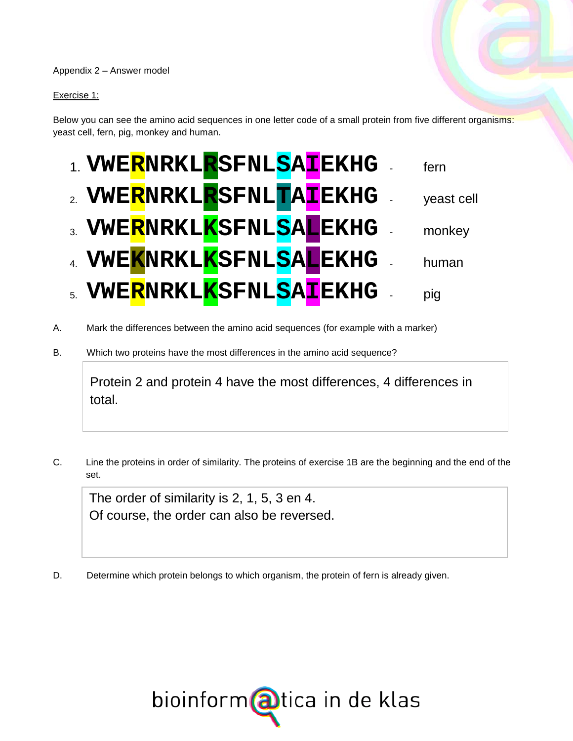## Appendix 2 – Answer model

## Exercise 1:

Below you can see the amino acid sequences in one letter code of a small protein from five different organisms: yeast cell, fern, pig, monkey and human.



- A. Mark the differences between the amino acid sequences (for example with a marker)
- B. Which two proteins have the most differences in the amino acid sequence?

Protein 2 and protein 4 have the most differences, 4 differences in total.

C. Line the proteins in order of similarity. The proteins of exercise 1B are the beginning and the end of the set.

The order of similarity is 2, 1, 5, 3 en 4. Of course, the order can also be reversed.

D. Determine which protein belongs to which organism, the protein of fern is already given.

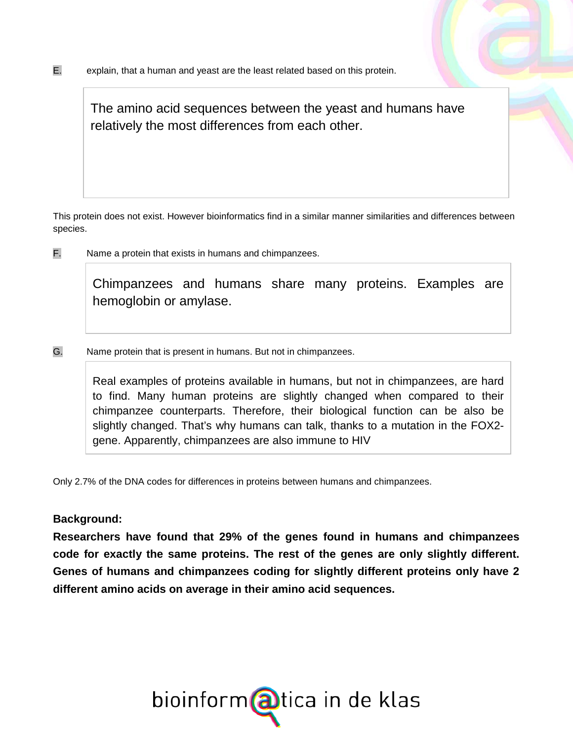The amino acid sequences between the yeast and humans have relatively the most differences from each other.

This protein does not exist. However bioinformatics find in a similar manner similarities and differences between species.

F. Name a protein that exists in humans and chimpanzees.

Chimpanzees and humans share many proteins. Examples are hemoglobin or amylase.

G. Name protein that is present in humans. But not in chimpanzees.

Real examples of proteins available in humans, but not in chimpanzees, are hard to find. Many human proteins are slightly changed when compared to their chimpanzee counterparts. Therefore, their biological function can be also be slightly changed. That's why humans can talk, thanks to a mutation in the FOX2 gene. Apparently, chimpanzees are also immune to HIV

Only 2.7% of the DNA codes for differences in proteins between humans and chimpanzees.

## **Background:**

**Researchers have found that 29% of the genes found in humans and chimpanzees code for exactly the same proteins. The rest of the genes are only slightly different. Genes of humans and chimpanzees coding for slightly different proteins only have 2 different amino acids on average in their amino acid sequences.** 

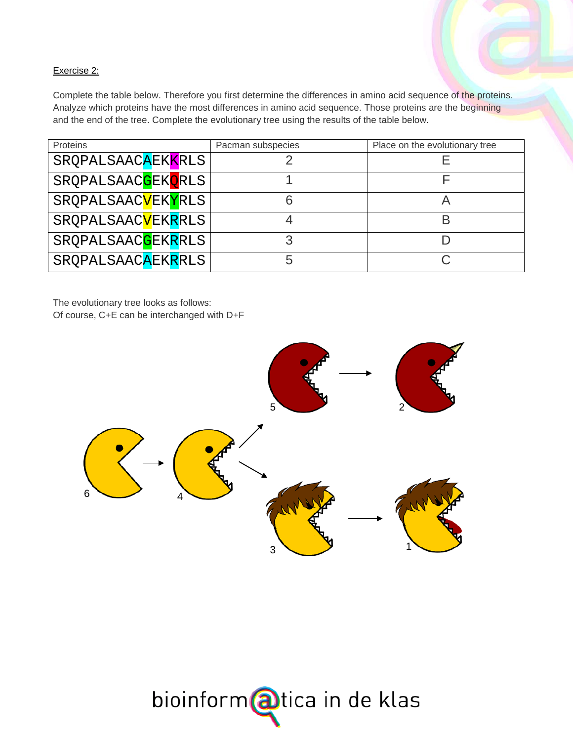## Exercise 2:

Complete the table below. Therefore you first determine the differences in amino acid sequence of the proteins. Analyze which proteins have the most differences in amino acid sequence. Those proteins are the beginning and the end of the tree. Complete the evolutionary tree using the results of the table below.

| Proteins                         | Place on the evolutionary tree<br>Pacman subspecies |  |
|----------------------------------|-----------------------------------------------------|--|
| SRQPALSAACAEKKRLS                |                                                     |  |
| SRQPALSAAC <mark>G</mark> EKQRLS |                                                     |  |
| SRQPALSAAC <mark>V</mark> EKYRLS |                                                     |  |
| SRQPALSAACVEKRRLS                |                                                     |  |
| SRQPALSAAC <mark>G</mark> EKRRLS |                                                     |  |
| SRQPALSAACAEKRRLS                | h.                                                  |  |

The evolutionary tree looks as follows:

Of course, C+E can be interchanged with D+F